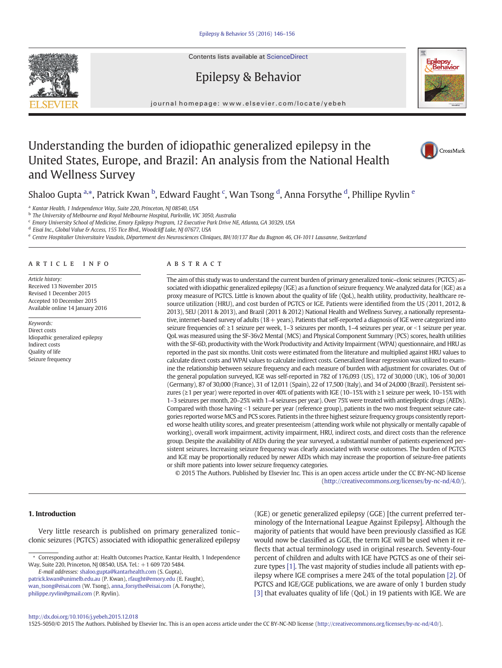Contents lists available at ScienceDirect

# Epilepsy & Behavior



# Understanding the burden of idiopathic generalized epilepsy in the United States, Europe, and Brazil: An analysis from the National Health and Wellness Survey



 $C$ rossMark

Shaloo Gupta <sup>a,\*</sup>, Patrick Kwan <sup>b</sup>, Edward Faught <sup>c</sup>, Wan Tsong <sup>d</sup>, Anna Forsythe <sup>d</sup>, Phillipe Ryvlin <sup>e</sup>

<sup>a</sup> Kantar Health, 1 Independence Way, Suite 220, Princeton, NJ 08540, USA

b The University of Melbourne and Royal Melbourne Hospital, Parkville, VIC 3050, Australia

<sup>c</sup> Emory University School of Medicine, Emory Epilepsy Program, 12 Executive Park Drive NE, Atlanta, GA 30329, USA

<sup>d</sup> Eisai Inc., Global Value & Access, 155 Tice Blvd., Woodcliff Lake, NJ 07677, USA

<sup>e</sup> Centre Hospitalier Universitaire Vaudois, Département des Neurosciences Cliniques, BH/10/137 Rue du Bugnon 46, CH-1011 Lausanne, Switzerland

# article info abstract

Article history: Received 13 November 2015 Revised 1 December 2015 Accepted 10 December 2015 Available online 14 January 2016

Keywords: Direct costs Idiopathic generalized epilepsy Indirect costs Quality of life Seizure frequency

The aim of this study was to understand the current burden of primary generalized tonic–clonic seizures (PGTCS) associated with idiopathic generalized epilepsy (IGE) as a function of seizure frequency. We analyzed data for (IGE) as a proxy measure of PGTCS. Little is known about the quality of life (QoL), health utility, productivity, healthcare resource utilization (HRU), and cost burden of PGTCS or IGE. Patients were identified from the US (2011, 2012, & 2013), 5EU (2011 & 2013), and Brazil (2011 & 2012) National Health and Wellness Survey, a nationally representative, internet-based survey of adults (18+ years). Patients that self-reported a diagnosis of IGE were categorized into seizure frequencies of: ≥1 seizure per week, 1–3 seizures per month, 1–4 seizures per year, or <1 seizure per year. QoL was measured using the SF-36v2 Mental (MCS) and Physical Component Summary (PCS) scores, health utilities with the SF-6D, productivity with the Work Productivity and Activity Impairment (WPAI) questionnaire, and HRU as reported in the past six months. Unit costs were estimated from the literature and multiplied against HRU values to calculate direct costs and WPAI values to calculate indirect costs. Generalized linear regression was utilized to examine the relationship between seizure frequency and each measure of burden with adjustment for covariates. Out of the general population surveyed, IGE was self-reported in 782 of 176,093 (US), 172 of 30,000 (UK), 106 of 30,001 (Germany), 87 of 30,000 (France), 31 of 12,011 (Spain), 22 of 17,500 (Italy), and 34 of 24,000 (Brazil). Persistent seizures (≥1 per year) were reported in over 40% of patients with IGE (10–15% with ≥1 seizure per week, 10–15% with 1–3 seizures per month, 20–25% with 1–4 seizures per year). Over 75% were treated with antiepileptic drugs (AEDs). Compared with those having <1 seizure per year (reference group), patients in the two most frequent seizure categories reported worse MCS and PCS scores. Patients in the three highest seizure frequency groups consistently reported worse health utility scores, and greater presenteeism (attending work while not physically or mentally capable of working), overall work impairment, activity impairment, HRU, indirect costs, and direct costs than the reference group. Despite the availability of AEDs during the year surveyed, a substantial number of patients experienced persistent seizures. Increasing seizure frequency was clearly associated with worse outcomes. The burden of PGTCS and IGE may be proportionally reduced by newer AEDs which may increase the proportion of seizure-free patients or shift more patients into lower seizure frequency categories.

© 2015 The Authors. Published by Elsevier Inc. This is an open access article under the CC BY-NC-ND license (http://creativecommons.org/licenses/by-nc-nd/4.0/).

# 1. Introduction

Very little research is published on primary generalized tonic– clonic seizures (PGTCS) associated with idiopathic generalized epilepsy

⁎ Corresponding author at: Health Outcomes Practice, Kantar Health, 1 Independence Way, Suite 220, Princeton, NJ 08540, USA. Tel.: +1 609 720 5484.

E-mail addresses: shaloo.gupta@kantarhealth.com (S. Gupta),

(IGE) or genetic generalized epilepsy (GGE) [the current preferred terminology of the International League Against Epilepsy]. Although the majority of patients that would have been previously classified as IGE would now be classified as GGE, the term IGE will be used when it reflects that actual terminology used in original research. Seventy-four percent of children and adults with IGE have PGTCS as one of their seizure types [\[1\]](#page-9-0). The vast majority of studies include all patients with epilepsy where IGE comprises a mere 24% of the total population [\[2\].](#page-9-0) Of PGTCS and IGE/GGE publications, we are aware of only 1 burden study [\[3\]](#page-9-0) that evaluates quality of life (QoL) in 19 patients with IGE. We are

# <http://dx.doi.org/10.1016/j.yebeh.2015.12.018>

1525-5050/© 2015 The Authors. Published by Elsevier Inc. This is an open access article under the CC BY-NC-ND license (http://creativecommons.org/licenses/by-nc-nd/4.0/).



patrick.kwan@unimelb.edu.au (P. Kwan), rfaught@emory.edu (E. Faught), wan\_tsong@eisai.com (W. Tsong), anna\_forsythe@eisai.com (A. Forsythe), [philippe.ryvlin@gmail.com](mailto:philippe.ryvlin@gmail.com) (P. Ryvlin).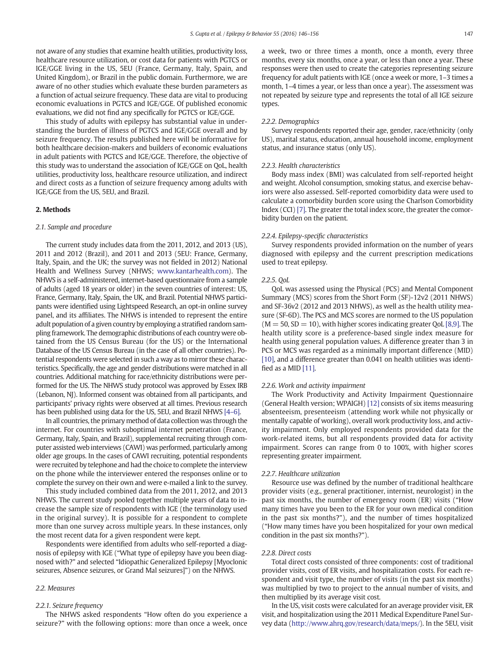not aware of any studies that examine health utilities, productivity loss, healthcare resource utilization, or cost data for patients with PGTCS or IGE/GGE living in the US, 5EU (France, Germany, Italy, Spain, and United Kingdom), or Brazil in the public domain. Furthermore, we are aware of no other studies which evaluate these burden parameters as a function of actual seizure frequency. These data are vital to producing economic evaluations in PGTCS and IGE/GGE. Of published economic evaluations, we did not find any specifically for PGTCS or IGE/GGE.

This study of adults with epilepsy has substantial value in understanding the burden of illness of PGTCS and IGE/GGE overall and by seizure frequency. The results published here will be informative for both healthcare decision-makers and builders of economic evaluations in adult patients with PGTCS and IGE/GGE. Therefore, the objective of this study was to understand the association of IGE/GGE on QoL, health utilities, productivity loss, healthcare resource utilization, and indirect and direct costs as a function of seizure frequency among adults with IGE/GGE from the US, 5EU, and Brazil.

# 2. Methods

# 2.1. Sample and procedure

The current study includes data from the 2011, 2012, and 2013 (US), 2011 and 2012 (Brazil), and 2011 and 2013 (5EU: France, Germany, Italy, Spain, and the UK; the survey was not fielded in 2012) National Health and Wellness Survey (NHWS; [www.kantarhealth.com](http://www.kantarhealth.com)). The NHWS is a self-administered, internet-based questionnaire from a sample of adults (aged 18 years or older) in the seven countries of interest: US, France, Germany, Italy, Spain, the UK, and Brazil. Potential NHWS participants were identified using Lightspeed Research, an opt-in online survey panel, and its affiliates. The NHWS is intended to represent the entire adult population of a given country by employing a stratified random sampling framework. The demographic distributions of each country were obtained from the US Census Bureau (for the US) or the International Database of the US Census Bureau (in the case of all other countries). Potential respondents were selected in such a way as to mirror these characteristics. Specifically, the age and gender distributions were matched in all countries. Additional matching for race/ethnicity distributions were performed for the US. The NHWS study protocol was approved by Essex IRB (Lebanon, NJ). Informed consent was obtained from all participants, and participants' privacy rights were observed at all times. Previous research has been published using data for the US, 5EU, and Brazil NHWS [\[4](#page-9-0)–6].

In all countries, the primary method of data collection was through the internet. For countries with suboptimal internet penetration (France, Germany, Italy, Spain, and Brazil), supplemental recruiting through computer assisted web interviews (CAWI) was performed, particularly among older age groups. In the cases of CAWI recruiting, potential respondents were recruited by telephone and had the choice to complete the interview on the phone while the interviewer entered the responses online or to complete the survey on their own and were e-mailed a link to the survey.

This study included combined data from the 2011, 2012, and 2013 NHWS. The current study pooled together multiple years of data to increase the sample size of respondents with IGE (the terminology used in the original survey). It is possible for a respondent to complete more than one survey across multiple years. In these instances, only the most recent data for a given respondent were kept.

Respondents were identified from adults who self-reported a diagnosis of epilepsy with IGE ("What type of epilepsy have you been diagnosed with?" and selected "Idiopathic Generalized Epilepsy [Myoclonic seizures, Absence seizures, or Grand Mal seizures]") on the NHWS.

# 2.2. Measures

# 2.2.1. Seizure frequency

The NHWS asked respondents "How often do you experience a seizure?" with the following options: more than once a week, once a week, two or three times a month, once a month, every three months, every six months, once a year, or less than once a year. These responses were then used to create the categories representing seizure frequency for adult patients with IGE (once a week or more, 1–3 times a month, 1–4 times a year, or less than once a year). The assessment was not repeated by seizure type and represents the total of all IGE seizure types.

# 2.2.2. Demographics

Survey respondents reported their age, gender, race/ethnicity (only US), marital status, education, annual household income, employment status, and insurance status (only US).

# 2.2.3. Health characteristics

Body mass index (BMI) was calculated from self-reported height and weight. Alcohol consumption, smoking status, and exercise behaviors were also assessed. Self-reported comorbidity data were used to calculate a comorbidity burden score using the Charlson Comorbidity Index (CCI) [\[7\]](#page-9-0). The greater the total index score, the greater the comorbidity burden on the patient.

# 2.2.4. Epilepsy-specific characteristics

Survey respondents provided information on the number of years diagnosed with epilepsy and the current prescription medications used to treat epilepsy.

# 2.2.5. QoL

QoL was assessed using the Physical (PCS) and Mental Component Summary (MCS) scores from the Short Form (SF)-12v2 (2011 NHWS) and SF-36v2 (2012 and 2013 NHWS), as well as the health utility measure (SF-6D). The PCS and MCS scores are normed to the US population  $(M = 50, SD = 10)$ , with higher scores indicating greater QoL [\[8,9\].](#page-9-0) The health utility score is a preference-based single index measure for health using general population values. A difference greater than 3 in PCS or MCS was regarded as a minimally important difference (MID) [\[10\],](#page-9-0) and a difference greater than 0.041 on health utilities was identified as a MID [\[11\]](#page-9-0).

### 2.2.6. Work and activity impairment

The Work Productivity and Activity Impairment Questionnaire (General Health version; WPAIGH) [\[12\]](#page-9-0) consists of six items measuring absenteeism, presenteeism (attending work while not physically or mentally capable of working), overall work productivity loss, and activity impairment. Only employed respondents provided data for the work-related items, but all respondents provided data for activity impairment. Scores can range from 0 to 100%, with higher scores representing greater impairment.

# 2.2.7. Healthcare utilization

Resource use was defined by the number of traditional healthcare provider visits (e.g., general practitioner, internist, neurologist) in the past six months, the number of emergency room (ER) visits ("How many times have you been to the ER for your own medical condition in the past six months?"), and the number of times hospitalized ("How many times have you been hospitalized for your own medical condition in the past six months?").

# 2.2.8. Direct costs

Total direct costs consisted of three components: cost of traditional provider visits, cost of ER visits, and hospitalization costs. For each respondent and visit type, the number of visits (in the past six months) was multiplied by two to project to the annual number of visits, and then multiplied by its average visit cost.

In the US, visit costs were calculated for an average provider visit, ER visit, and hospitalization using the 2011 Medical Expenditure Panel Survey data [\(http://www.ahrq.gov/research/data/meps/](http://www.ahrq.gov/research/data/meps/)). In the 5EU, visit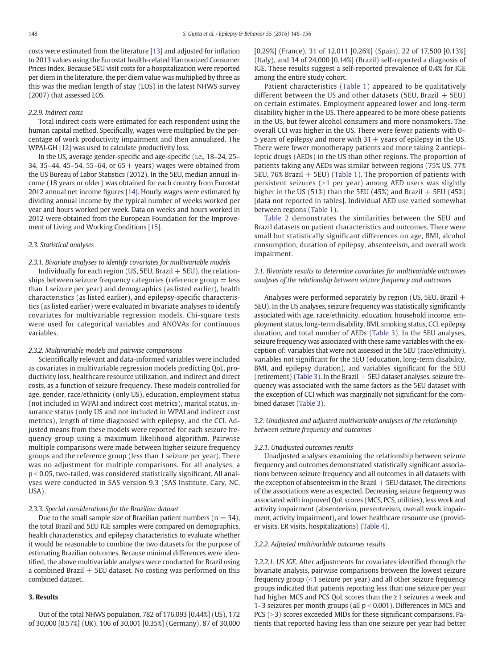costs were estimated from the literature [\[13\]](#page-9-0) and adjusted for inflation to 2013 values using the Eurostat health-related Harmonized Consumer Prices Index. Because 5EU visit costs for a hospitalization were reported per diem in the literature, the per diem value was multiplied by three as this was the median length of stay (LOS) in the latest NHWS survey (2007) that assessed LOS.

# 2.2.9. Indirect costs

Total indirect costs were estimated for each respondent using the human capital method. Specifically, wages were multiplied by the percentage of work productivity impairment and then annualized. The WPAI-GH [\[12\]](#page-9-0) was used to calculate productivity loss.

In the US, average gender-specific and age-specific (i.e., 18–24, 25– 34, 35–44, 45–54, 55–64, or  $65 +$  years) wages were obtained from the US Bureau of Labor Statistics (2012). In the 5EU, median annual income (18 years or older) was obtained for each country from Eurostat 2012 annual net income figures [\[14\]](#page-9-0). Hourly wages were estimated by dividing annual income by the typical number of weeks worked per year and hours worked per week. Data on weeks and hours worked in 2012 were obtained from the European Foundation for the Improvement of Living and Working Conditions [\[15\]](#page-9-0).

# 2.3. Statistical analyses

# 2.3.1. Bivariate analyses to identify covariates for multivariable models

Individually for each region (US, 5EU, Brazil  $+$  5EU), the relationships between seizure frequency categories (reference group  $=$  less than 1 seizure per year) and demographics (as listed earlier), health characteristics (as listed earlier), and epilepsy-specific characteristics (as listed earlier) were evaluated in bivariate analyses to identify covariates for multivariable regression models. Chi-square tests were used for categorical variables and ANOVAs for continuous variables.

# 2.3.2. Multivariable models and pairwise comparisons

Scientifically relevant and data-informed variables were included as covariates in multivariable regression models predicting QoL, productivity loss, healthcare resource utilization, and indirect and direct costs, as a function of seizure frequency. These models controlled for age, gender, race/ethnicity (only US), education, employment status (not included in WPAI and indirect cost metrics), marital status, insurance status (only US and not included in WPAI and indirect cost metrics), length of time diagnosed with epilepsy, and the CCI. Adjusted means from these models were reported for each seizure frequency group using a maximum likelihood algorithm. Pairwise multiple comparisons were made between higher seizure frequency groups and the reference group (less than 1 seizure per year). There was no adjustment for multiple comparisons. For all analyses, a  $p < 0.05$ , two-tailed, was considered statistically significant. All analyses were conducted in SAS version 9.3 (SAS Institute, Cary, NC, USA).

#### 2.3.3. Special considerations for the Brazilian dataset

Due to the small sample size of Brazilian patient numbers ( $n = 34$ ), the total Brazil and 5EU IGE samples were compared on demographics, health characteristics, and epilepsy characteristics to evaluate whether it would be reasonable to combine the two datasets for the purpose of estimating Brazilian outcomes. Because minimal differences were identified, the above multivariable analyses were conducted for Brazil using a combined Brazil  $+$  5EU dataset. No costing was performed on this combined dataset.

# 3. Results

Out of the total NHWS population, 782 of 176,093 [0.44%] (US), 172 of 30,000 [0.57%] (UK), 106 of 30,001 [0.35%] (Germany), 87 of 30,000 [0.29%] (France), 31 of 12,011 [0.26%] (Spain), 22 of 17,500 [0.13%] (Italy), and 34 of 24,000 [0.14%] (Brazil) self-reported a diagnosis of IGE. These results suggest a self-reported prevalence of 0.4% for IGE among the entire study cohort.

Patient characteristics ([Table 1](#page-3-0)) appeared to be qualitatively different between the US and other datasets (5EU, Brazil  $+$  5EU) on certain estimates. Employment appeared lower and long-term disability higher in the US. There appeared to be more obese patients in the US, but fewer alcohol consumers and more nonsmokers. The overall CCI was higher in the US. There were fewer patients with 0– 5 years of epilepsy and more with  $31 +$  years of epilepsy in the US. There were fewer monotherapy patients and more taking 2 antiepileptic drugs (AEDs) in the US than other regions. The proportion of patients taking any AEDs was similar between regions (75% US, 77% 5EU, 76% Brazil  $+$  5EU) ([Table 1\)](#page-3-0). The proportion of patients with persistent seizures  $(>1$  per year) among AED users was slightly higher in the US (51%) than the 5EU (45%) and Brazil  $+$  5EU (45%) [data not reported in tables]. Individual AED use varied somewhat between regions [\(Table 1\)](#page-3-0).

[Table 2](#page-4-0) demonstrates the similarities between the 5EU and Brazil datasets on patient characteristics and outcomes. There were small but statistically significant differences on age, BMI, alcohol consumption, duration of epilepsy, absenteeism, and overall work impairment.

# 3.1. Bivariate results to determine covariates for multivariable outcomes analyses of the relationship between seizure frequency and outcomes

Analyses were performed separately by region (US, 5EU, Brazil  $+$ 5EU). In the US analyses, seizure frequency was statistically significantly associated with age, race/ethnicity, education, household income, employment status, long-term disability, BMI, smoking status, CCI, epilepsy duration, and total number of AEDs ([Table 3\)](#page-4-0). In the 5EU analyses, seizure frequency was associated with these same variables with the exception of: variables that were not assessed in the 5EU (race/ethnicity), variables not significant for the 5EU (education, long-term disability, BMI, and epilepsy duration), and variables significant for the 5EU (retirement) ([Table 3\)](#page-4-0). In the Brazil  $+$  5EU dataset analyses, seizure frequency was associated with the same factors as the 5EU dataset with the exception of CCI which was marginally not significant for the combined dataset [\(Table 3\)](#page-4-0).

# 3.2. Unadjusted and adjusted multivariable analyses of the relationship between seizure frequency and outcomes

# 3.2.1. Unadjusted outcomes results

Unadjusted analyses examining the relationship between seizure frequency and outcomes demonstrated statistically significant associations between seizure frequency and all outcomes in all datasets with the exception of absenteeism in the Brazil  $+$  5EU dataset. The directions of the associations were as expected. Decreasing seizure frequency was associated with improved QoL scores (MCS, PCS, utilities), less work and activity impairment (absenteeism, presenteeism, overall work impairment, activity impairment), and lower healthcare resource use (provider visits, ER visits, hospitalizations) [\(Table 4\)](#page-5-0).

# 3.2.2. Adjusted multivariable outcomes results

3.2.2.1. US IGE. After adjustments for covariates identified through the bivariate analysis, pairwise comparisons between the lowest seizure frequency group  $($  < 1 seizure per year) and all other seizure frequency groups indicated that patients reporting less than one seizure per year had higher MCS and PCS QoL scores than the ≥1 seizures a week and 1–3 seizures per month groups (all  $p < 0.001$ ). Differences in MCS and  $PCS (>3)$  scores exceeded MIDs for these significant comparisons. Patients that reported having less than one seizure per year had better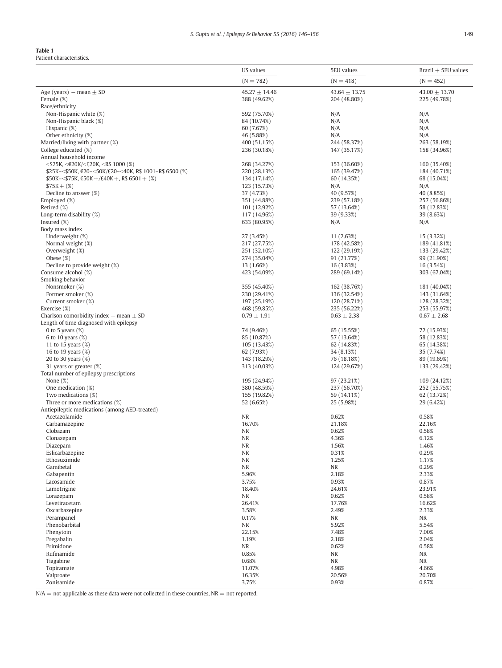<span id="page-3-0"></span>Patient characteristics.

|                                                                                                                          | US values                    | 5EU values                  | $Brazil + 5EU$ values       |
|--------------------------------------------------------------------------------------------------------------------------|------------------------------|-----------------------------|-----------------------------|
|                                                                                                                          | $(N = 782)$                  | $(N = 418)$                 | $(N = 452)$                 |
| Age (years) – mean $\pm$ SD                                                                                              | $45.27 \pm 14.46$            | $43.64 \pm 13.75$           | $43.00 \pm 13.70$           |
| Female (%)                                                                                                               | 388 (49.62%)                 | 204 (48.80%)                | 225 (49.78%)                |
| Race/ethnicity                                                                                                           |                              |                             |                             |
| Non-Hispanic white (%)                                                                                                   | 592 (75.70%)                 | N/A                         | N/A                         |
| Non-Hispanic black (%)<br>Hispanic (%)                                                                                   | 84 (10.74%)                  | N/A<br>N/A                  | N/A<br>N/A                  |
| Other ethnicity (%)                                                                                                      | 60 (7.67%)<br>46 (5.88%)     | N/A                         | N/A                         |
| Married/living with partner (%)                                                                                          | 400 (51.15%)                 | 244 (58.37%)                | 263 (58.19%)                |
| College educated (%)                                                                                                     | 236 (30.18%)                 | 147 (35.17%)                | 158 (34.96%)                |
| Annual household income                                                                                                  |                              |                             |                             |
| $<$ \$25K, <€20K/<£20K, <r\$ (%)<="" 1000="" td=""><td>268 (34.27%)</td><td>153 (36.60%)</td><td>160 (35.40%)</td></r\$> | 268 (34.27%)                 | 153 (36.60%)                | 160 (35.40%)                |
| \$25K-<\$50K, €20-<50K/£20-<40K, R\$ 1001-R\$ 6500 (%)                                                                   | 220 (28.13%)                 | 165 (39.47%)                | 184 (40.71%)                |
| \$50K-<\$75K, $€50K + /£40K +$ , R\$ 6501 + (%)                                                                          | 134 (17.14%)                 | 60 (14.35%)                 | 68 (15.04%)                 |
| $$75K + (%)$                                                                                                             | 123 (15.73%)                 | N/A                         | N/A                         |
| Decline to answer (%)                                                                                                    | 37 (4.73%)                   | 40 (9.57%)                  | 40 (8.85%)                  |
| Employed (%)<br>Retired (%)                                                                                              | 351 (44.88%)<br>101 (12.92%) | 239 (57.18%)<br>57 (13.64%) | 257 (56.86%)<br>58 (12.83%) |
| Long-term disability (%)                                                                                                 | 117 (14.96%)                 | 39 (9.33%)                  | 39 (8.63%)                  |
| Insured $(\%)$                                                                                                           | 633 (80.95%)                 | N/A                         | N/A                         |
| Body mass index                                                                                                          |                              |                             |                             |
| Underweight (%)                                                                                                          | 27 (3.45%)                   | 11 (2.63%)                  | 15 (3.32%)                  |
| Normal weight (%)                                                                                                        | 217 (27.75%)                 | 178 (42.58%)                | 189 (41.81%)                |
| Overweight (%)                                                                                                           | 251 (32.10%)                 | 122 (29.19%)                | 133 (29.42%)                |
| Obese $(\%)$                                                                                                             | 274 (35.04%)                 | 91 (21.77%)                 | 99 (21.90%)                 |
| Decline to provide weight (%)                                                                                            | 13 (1.66%)                   | 16 (3.83%)                  | 16 (3.54%)                  |
| Consume alcohol (%)                                                                                                      | 423 (54.09%)                 | 289 (69.14%)                | 303 (67.04%)                |
| Smoking behavior<br>Nonsmoker (%)                                                                                        | 355 (45.40%)                 | 162 (38.76%)                | 181 (40.04%)                |
| Former smoker (%)                                                                                                        | 230 (29.41%)                 | 136 (32.54%)                | 143 (31.64%)                |
| Current smoker (%)                                                                                                       | 197 (25.19%)                 | 120 (28.71%)                | 128 (28.32%)                |
| Exercise (%)                                                                                                             | 468 (59.85%)                 | 235 (56.22%)                | 253 (55.97%)                |
| Charlson comorbidity index $-$ mean $\pm$ SD                                                                             | $0.79 \pm 1.91$              | $0.63 \pm 2.38$             | $0.67 \pm 2.68$             |
| Length of time diagnosed with epilepsy                                                                                   |                              |                             |                             |
| 0 to 5 years $(\%)$                                                                                                      | 74 (9.46%)                   | 65 (15.55%)                 | 72 (15.93%)                 |
| 6 to 10 years (%)                                                                                                        | 85 (10.87%)                  | 57 (13.64%)                 | 58 (12.83%)                 |
| 11 to 15 years (%)                                                                                                       | 105 (13.43%)                 | 62 (14.83%)                 | 65 (14.38%)                 |
| 16 to 19 years (%)                                                                                                       | 62 (7.93%)<br>143 (18.29%)   | 34 (8.13%)<br>76 (18.18%)   | 35 (7.74%)<br>89 (19.69%)   |
| 20 to 30 years (%)<br>31 years or greater (%)                                                                            | 313 (40.03%)                 | 124 (29.67%)                | 133 (29.42%)                |
| Total number of epilepsy prescriptions                                                                                   |                              |                             |                             |
| None $(\%)$                                                                                                              | 195 (24.94%)                 | 97 (23.21%)                 | 109 (24.12%)                |
| One medication (%)                                                                                                       | 380 (48.59%)                 | 237 (56.70%)                | 252 (55.75%)                |
| Two medications (%)                                                                                                      | 155 (19.82%)                 | 59 (14.11%)                 | 62 (13.72%)                 |
| Three or more medications (%)                                                                                            | 52 (6.65%)                   | 25 (5.98%)                  | 29 (6.42%)                  |
| Antiepileptic medications (among AED-treated)                                                                            |                              |                             |                             |
| Acetazolamide                                                                                                            | NR                           | 0.62%                       | 0.58%                       |
| Carbamazepine<br>Clobazam                                                                                                | 16.70%<br><b>NR</b>          | 21.18%<br>0.62%             | 22.16%<br>0.58%             |
| Clonazepam                                                                                                               | <b>NR</b>                    | 4.36%                       | 6.12%                       |
| Diazepam                                                                                                                 | NR                           | 1.56%                       | 1.46%                       |
| Eslicarbazepine                                                                                                          | <b>NR</b>                    | 0.31%                       | 0.29%                       |
| Ethosuximide                                                                                                             | NR                           | 1.25%                       | 1.17%                       |
| Gamibetal                                                                                                                | NR                           | NR                          | 0.29%                       |
| Gabapentin                                                                                                               | 5.96%                        | 2.18%                       | 2.33%                       |
| Lacosamide                                                                                                               | 3.75%                        | 0.93%                       | 0.87%                       |
| Lamotrigine                                                                                                              | 18.40%                       | 24.61%                      | 23.91%                      |
| Lorazepam<br>Levetiracetam                                                                                               | NR<br>26.41%                 | 0.62%<br>17.76%             | 0.58%<br>16.62%             |
| Oxcarbazepine                                                                                                            | 3.58%                        | 2.49%                       | 2.33%                       |
| Perampanel                                                                                                               | 0.17%                        | NR                          | NR                          |
| Phenobarbital                                                                                                            | NR                           | 5.92%                       | 5.54%                       |
| Phenytoin                                                                                                                | 22.15%                       | 7.48%                       | 7.00%                       |
| Pregabalin                                                                                                               | 1.19%                        | 2.18%                       | 2.04%                       |
| Primidone                                                                                                                | NR                           | 0.62%                       | 0.58%                       |
| Rufinamide                                                                                                               | 0.85%                        | <b>NR</b>                   | <b>NR</b>                   |
| Tiagabine                                                                                                                | 0.68%                        | NR                          | <b>NR</b>                   |
| Topiramate                                                                                                               | 11.07%                       | 4.98%                       | 4.66%                       |
| Valproate<br>Zonisamide                                                                                                  | 16.35%<br>3.75%              | 20.56%<br>0.93%             | 20.70%<br>0.87%             |
|                                                                                                                          |                              |                             |                             |

 $N/A$  = not applicable as these data were not collected in these countries,  $NR$  = not reported.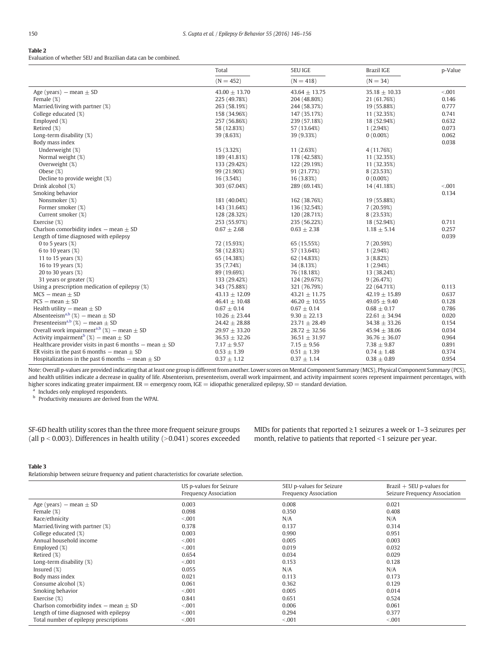<span id="page-4-0"></span>Evaluation of whether 5EU and Brazilian data can be combined.

|                                                               | Total             | 5EU IGE           | <b>Brazil IGE</b> | p-Value |
|---------------------------------------------------------------|-------------------|-------------------|-------------------|---------|
|                                                               | $(N = 452)$       | $(N = 418)$       | $(N = 34)$        |         |
| Age (years) – mean $\pm$ SD                                   | $43.00 \pm 13.70$ | $43.64 \pm 13.75$ | $35.18 \pm 10.33$ | < .001  |
| Female (%)                                                    | 225 (49.78%)      | 204 (48.80%)      | 21 (61.76%)       | 0.146   |
| Married/living with partner (%)                               | 263 (58.19%)      | 244 (58.37%)      | 19 (55.88%)       | 0.777   |
| College educated (%)                                          | 158 (34.96%)      | 147 (35.17%)      | 11 (32.35%)       | 0.741   |
| Employed (%)                                                  | 257 (56.86%)      | 239 (57.18%)      | 18 (52.94%)       | 0.632   |
| Retired (%)                                                   | 58 (12.83%)       | 57 (13.64%)       | 1(2.94%)          | 0.073   |
| Long-term disability (%)                                      | 39 (8.63%)        | 39 (9.33%)        | $0(0.00\%)$       | 0.062   |
| Body mass index                                               |                   |                   |                   | 0.038   |
| Underweight (%)                                               | 15 (3.32%)        | 11 (2.63%)        | 4 (11.76%)        |         |
| Normal weight (%)                                             | 189 (41.81%)      | 178 (42.58%)      | 11 (32.35%)       |         |
| Overweight (%)                                                | 133 (29.42%)      | 122 (29.19%)      | 11 (32.35%)       |         |
| Obese (%)                                                     | 99 (21.90%)       | 91 (21.77%)       | 8 (23.53%)        |         |
| Decline to provide weight (%)                                 | 16 (3.54%)        | 16 (3.83%)        | $0(0.00\%)$       |         |
| Drink alcohol (%)                                             | 303 (67.04%)      | 289 (69.14%)      | 14 (41.18%)       | < .001  |
| Smoking behavior                                              |                   |                   |                   | 0.134   |
| Nonsmoker (%)                                                 | 181 (40.04%)      | 162 (38.76%)      | 19 (55.88%)       |         |
| Former smoker (%)                                             | 143 (31.64%)      | 136 (32.54%)      | 7 (20.59%)        |         |
| Current smoker (%)                                            | 128 (28.32%)      | 120 (28.71%)      | 8 (23.53%)        |         |
| Exercise (%)                                                  | 253 (55.97%)      | 235 (56.22%)      | 18 (52.94%)       | 0.711   |
| Charlson comorbidity index $-$ mean $\pm$ SD                  | $0.67 \pm 2.68$   | $0.63 \pm 2.38$   | $1.18 \pm 5.14$   | 0.257   |
| Length of time diagnosed with epilepsy                        |                   |                   |                   | 0.039   |
| 0 to 5 years $(\%)$                                           | 72 (15.93%)       | 65 (15.55%)       | 7 (20.59%)        |         |
| 6 to 10 years (%)                                             | 58 (12.83%)       | 57 (13.64%)       | 1(2.94%)          |         |
| 11 to 15 years (%)                                            | 65 (14.38%)       | 62 (14.83%)       | 3(8.82%)          |         |
| 16 to 19 years (%)                                            | 35 (7.74%)        | 34 (8.13%)        | 1(2.94%)          |         |
| 20 to 30 years (%)                                            | 89 (19.69%)       | 76 (18.18%)       | 13 (38.24%)       |         |
| 31 years or greater (%)                                       | 133 (29.42%)      | 124 (29.67%)      | 9(26.47%)         |         |
| Using a prescription medication of epilepsy (%)               | 343 (75.88%)      | 321 (76.79%)      | 22 (64.71%)       | 0.113   |
| $MCS - mean + SD$                                             | $43.13 \pm 12.09$ | $43.21 \pm 11.75$ | $42.19 \pm 15.89$ | 0.637   |
| $PCS$ – mean + SD                                             | $46.41 \pm 10.48$ | $46.20 \pm 10.55$ | $49.05 \pm 9.40$  | 0.128   |
| Health utility $-$ mean $\pm$ SD                              | $0.67 \pm 0.14$   | $0.67 \pm 0.14$   | $0.68 \pm 0.17$   | 0.786   |
| Absenteeism <sup>a,b</sup> (%) – mean $\pm$ SD                | $10.26 \pm 23.44$ | $9.30 \pm 22.13$  | $22.61 \pm 34.94$ | 0.020   |
| Presenteeism <sup>a,b</sup> (%) – mean $\pm$ SD               | $24.42 \pm 28.88$ | $23.71 \pm 28.49$ | $34.38 \pm 33.26$ | 0.154   |
| Overall work impairment <sup>a,b</sup> (%) – mean $\pm$ SD    | $29.97 \pm 33.20$ | $28.72 \pm 32.56$ | $45.94 \pm 38.06$ | 0.034   |
| Activity impairment <sup>b</sup> (%) – mean $\pm$ SD          | $36.53 \pm 32.26$ | $36.51 \pm 31.97$ | $36.76 \pm 36.07$ | 0.964   |
| Healthcare provider visits in past 6 months $-$ mean $\pm$ SD | $7.17 \pm 9.57$   | $7.15 \pm 9.56$   | $7.38 \pm 9.87$   | 0.891   |
| ER visits in the past 6 months $-$ mean $\pm$ SD              | $0.53 \pm 1.39$   | $0.51 \pm 1.39$   | $0.74 \pm 1.48$   | 0.374   |
| Hospitalizations in the past 6 months $-$ mean $\pm$ SD       | $0.37 \pm 1.12$   | $0.37 \pm 1.14$   | $0.38 \pm 0.89$   | 0.954   |
|                                                               |                   |                   |                   |         |

Note: Overall p-values are provided indicating that at least one group is different from another. Lower scores on Mental Component Summary (MCS), Physical Component Summary (PCS), and health utilities indicate a decrease in quality of life. Absenteeism, presenteeism, overall work impairment, and activity impairment scores represent impairment percentages, with higher scores indicating greater impairment. ER = emergency room, IGE = idiopathic generalized epilepsy,  $SD =$  standard deviation.

<sup>a</sup> Includes only employed respondents.

b Productivity measures are derived from the WPAI.

SF-6D health utility scores than the three more frequent seizure groups (all  $p < 0.003$ ). Differences in health utility ( $> 0.041$ ) scores exceeded MIDs for patients that reported ≥1 seizures a week or 1–3 seizures per month, relative to patients that reported  $\leq$ 1 seizure per year.

# Table 3

Relationship between seizure frequency and patient characteristics for covariate selection.

|                                              | US p-values for Seizure<br><b>Frequency Association</b> | 5EU p-values for Seizure<br><b>Frequency Association</b> | Brazil $+$ 5EU p-values for<br>Seizure Frequency Association |
|----------------------------------------------|---------------------------------------------------------|----------------------------------------------------------|--------------------------------------------------------------|
| Age (years) – mean $\pm$ SD                  | 0.003                                                   | 0.008                                                    | 0.021                                                        |
| Female (%)                                   | 0.098                                                   | 0.350                                                    | 0.408                                                        |
| Race/ethnicity                               | < 0.001                                                 | N/A                                                      | N/A                                                          |
| Married/living with partner (%)              | 0.378                                                   | 0.137                                                    | 0.314                                                        |
| College educated (%)                         | 0.003                                                   | 0.990                                                    | 0.951                                                        |
| Annual household income                      | < 0.001                                                 | 0.005                                                    | 0.003                                                        |
| Employed (%)                                 | < 0.001                                                 | 0.019                                                    | 0.032                                                        |
| Retired (%)                                  | 0.654                                                   | 0.034                                                    | 0.029                                                        |
| Long-term disability $(\%)$                  | < 0.001                                                 | 0.153                                                    | 0.128                                                        |
| Insured $(\%)$                               | 0.055                                                   | N/A                                                      | N/A                                                          |
| Body mass index                              | 0.021                                                   | 0.113                                                    | 0.173                                                        |
| Consume alcohol (%)                          | 0.061                                                   | 0.362                                                    | 0.129                                                        |
| Smoking behavior                             | < 0.001                                                 | 0.005                                                    | 0.014                                                        |
| Exercise (%)                                 | 0.841                                                   | 0.651                                                    | 0.524                                                        |
| Charlson comorbidity index $-$ mean $\pm$ SD | < 0.001                                                 | 0.006                                                    | 0.061                                                        |
| Length of time diagnosed with epilepsy       | < 0.001                                                 | 0.294                                                    | 0.377                                                        |
| Total number of epilepsy prescriptions       | < 0.001                                                 | < 0.01                                                   | < 0.001                                                      |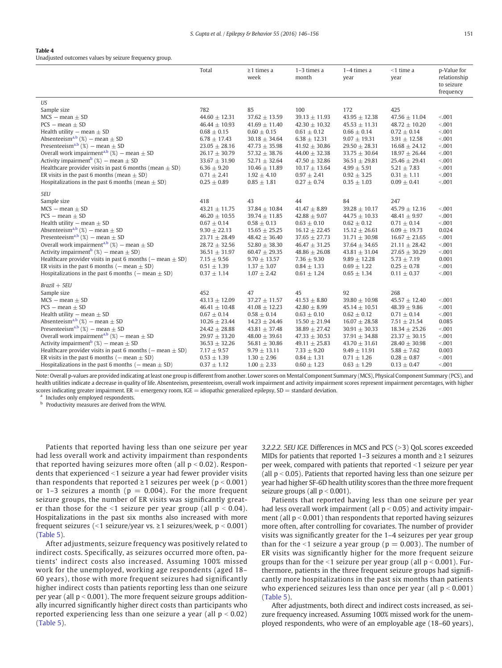<span id="page-5-0"></span>Unadjusted outcomes values by seizure frequency group.

|                                                                  | Total                                 | $\geq$ 1 times a<br>week             | $1-3$ times a<br>month                 | $1-4$ times a<br>year                | $<$ 1 time a<br>year                  | p-Value for<br>relationship<br>to seizure<br>frequency |
|------------------------------------------------------------------|---------------------------------------|--------------------------------------|----------------------------------------|--------------------------------------|---------------------------------------|--------------------------------------------------------|
| US                                                               |                                       |                                      |                                        |                                      |                                       |                                                        |
| Sample size                                                      | 782                                   | 85                                   | 100                                    | 172                                  | 425                                   |                                                        |
| $MCS$ – mean $\pm$ SD                                            | $44.60 \pm 12.31$                     | $37.62 \pm 13.59$                    | $39.13 \pm 11.93$                      | $43.95 \pm 12.38$                    | $47.56 \pm 11.04$                     | < 0.001                                                |
| $PCS - mean + SD$                                                | $46.44 \pm 10.93$                     | $41.69 \pm 11.40$                    | $42.30 \pm 10.32$                      | $45.53 \pm 11.31$                    | $48.72 \pm 10.20$                     | < .001                                                 |
| Health utility $-$ mean $\pm$ SD                                 | $0.68 \pm 0.15$                       | $0.60 \pm 0.15$                      | $0.61 \pm 0.12$                        | $0.66 \pm 0.14$                      | $0.72 \pm 0.14$                       | < .001                                                 |
| Absenteeism <sup>a,b</sup> (%) – mean $\pm$ SD                   | $6.78 \pm 17.43$                      | $30.18 \pm 34.64$                    | $6.38 \pm 12.31$                       | $9.07 \pm 19.31$                     | $3.91 \pm 12.58$                      | < .001                                                 |
| Presenteeism <sup>a,b</sup> (%) – mean $\pm$ SD                  | $23.05 \pm 28.16$                     | $47.73 \pm 35.98$                    | $41.92 \pm 30.86$                      | $29.50 \pm 28.31$                    | $16.68 \pm 24.12$                     | < .001                                                 |
| Overall work impairment <sup>a,b</sup> (%) – mean $\pm$ SD       | $26.17 \pm 30.79$                     | $57.32 \pm 38.76$                    | $44.00 \pm 32.38$                      | $33.75 \pm 30.64$                    | $18.97 \pm 26.44$                     | < .001                                                 |
| Activity impairment <sup>b</sup> (%) – mean $\pm$ SD             | $33.67 \pm 31.90$                     | $52.71 \pm 32.64$                    | $47.50 \pm 32.86$                      | $36.51 \pm 29.81$                    | $25.46 \pm 29.41$                     | < .001                                                 |
| Healthcare provider visits in past 6 months (mean $\pm$ SD)      | $6.36 \pm 9.20$                       | $10.46 \pm 11.89$                    | $10.17 \pm 13.64$                      | $4.99 \pm 5.91$                      | $5.21 \pm 7.83$                       | < .001                                                 |
| ER visits in the past 6 months (mean $\pm$ SD)                   | $0.71 \pm 2.41$                       | $1.92 \pm 4.10$                      | $0.97 \pm 2.41$                        | $0.92 \pm 3.25$                      | $0.31 \pm 1.11$                       | < .001                                                 |
| Hospitalizations in the past 6 months (mean $\pm$ SD)            | $0.25 \pm 0.89$                       | $0.85 \pm 1.81$                      | $0.27 \pm 0.74$                        | $0.35 \pm 1.03$                      | $0.09 \pm 0.41$                       | < .001                                                 |
|                                                                  |                                       |                                      |                                        |                                      |                                       |                                                        |
| 5EU                                                              |                                       |                                      |                                        |                                      |                                       |                                                        |
| Sample size                                                      | 418                                   | 43                                   | 44                                     | 84                                   | 247                                   |                                                        |
| $MCS$ – mean $\pm$ SD<br>$PCS$ – mean $\pm$ SD                   | $43.21 \pm 11.75$                     | $37.84 \pm 10.84$                    | $41.47 \pm 8.89$<br>$42.88 \pm 9.07$   | $39.28 \pm 10.17$                    | $45.79 \pm 12.16$                     | < .001                                                 |
| Health utility $-$ mean $\pm$ SD                                 | $46.20 \pm 10.55$                     | $39.74 \pm 11.85$                    |                                        | $44.75 \pm 10.33$                    | $48.41 \pm 9.97$                      | < .001<br>< .001                                       |
| Absenteeism <sup>a,b</sup> (%) – mean $\pm$ SD                   | $0.67 \pm 0.14$                       | $0.58 \pm 0.13$<br>$15.65 \pm 25.25$ | $0.63 \pm 0.10$                        | $0.62 \pm 0.12$<br>$15.12 \pm 26.61$ | $0.71 \pm 0.14$                       | 0.024                                                  |
| Presenteeism <sup>a,b</sup> (%) – mean $\pm$ SD                  | $9.30 \pm 22.13$<br>$23.71 \pm 28.49$ | $48.42 \pm 36.40$                    | $16.12 \pm 22.45$<br>$37.65 \pm 27.73$ | $31.71 \pm 30.98$                    | $6.09 \pm 19.73$<br>$16.67 \pm 23.65$ | < .001                                                 |
| Overall work impairment <sup>a,b</sup> (%) – mean $\pm$ SD       | $28.72 \pm 32.56$                     | $52.80 \pm 38.30$                    | $46.47 \pm 31.25$                      | $37.64 \pm 34.65$                    | $21.11 \pm 28.42$                     | < .001                                                 |
| Activity impairment <sup>b</sup> (%) – mean $\pm$ SD)            | $36.51 \pm 31.97$                     | $60.47 \pm 29.35$                    | $48.86 \pm 26.08$                      | $43.81 \pm 31.04$                    | $27.65 \pm 30.29$                     | < .001                                                 |
| Healthcare provider visits in past 6 months ( $-$ mean $\pm$ SD) | $7.15 \pm 9.56$                       | $9.70 \pm 13.57$                     | $7.36\pm9.30$                          | $9.89 \pm 12.28$                     | $5.73 \pm 7.19$                       | 0.001                                                  |
| ER visits in the past 6 months ( $-$ mean $\pm$ SD)              | $0.51 \pm 1.39$                       | $1.37 \pm 3.07$                      | $0.84 \pm 1.33$                        | $0.69 \pm 1.22$                      | $0.25 \pm 0.78$                       | < .001                                                 |
| Hospitalizations in the past 6 months ( $-$ mean $\pm$ SD)       | $0.37 \pm 1.14$                       | $1.07 \pm 2.42$                      | $0.61 \pm 1.24$                        | $0.65 \pm 1.34$                      | $0.11 \pm 0.37$                       | < .001                                                 |
|                                                                  |                                       |                                      |                                        |                                      |                                       |                                                        |
| $Brazil + 5EU$                                                   |                                       |                                      |                                        |                                      |                                       |                                                        |
| Sample size                                                      | 452                                   | 47                                   | 45                                     | 92                                   | 268                                   |                                                        |
| $MCS$ – mean $\pm$ SD                                            | $43.13 \pm 12.09$                     | $37.27 \pm 11.57$                    | $41.53 \pm 8.80$                       | $39.80 \pm 10.98$                    | $45.57 \pm 12.40$                     | < .001                                                 |
| $PCS$ – mean $\pm$ SD                                            | $46.41 \pm 10.48$                     | $41.08 \pm 12.23$                    | $42.80 \pm 8.99$                       | $45.14 \pm 10.51$                    | $48.39 \pm 9.86$                      | < .001                                                 |
| Health utility $-$ mean $\pm$ SD                                 | $0.67 \pm 0.14$                       | $0.58 \pm 0.14$                      | $0.63 \pm 0.10$                        | $0.62 \pm 0.12$                      | $0.71 \pm 0.14$                       | < .001                                                 |
| Absenteeism <sup>a,b</sup> (%) – mean $\pm$ SD                   | $10.26 \pm 23.44$                     | $14.23 \pm 24.46$                    | $15.50 \pm 21.94$                      | $16.07 \pm 28.58$                    | $7.51 \pm 21.54$                      | 0.085                                                  |
| Presenteeism <sup>a,b</sup> (%) – mean $\pm$ SD                  | $24.42 \pm 28.88$                     | $43.81 \pm 37.48$                    | $38.89 \pm 27.42$                      | $30.91 \pm 30.33$                    | $18.34 \pm 25.26$                     | < .001                                                 |
| Overall work impairment <sup>a,b</sup> (%) – mean $\pm$ SD       | $29.97 \pm 33.20$                     | $48.00 \pm 39.61$                    | $47.33 \pm 30.53$                      | $37.91 \pm 34.88$                    | $23.37 \pm 30.15$                     | < .001                                                 |
| Activity impairment <sup>b</sup> (%) – mean $\pm$ SD             | $36.53 \pm 32.26$                     | $56.81 \pm 30.86$                    | $49.11 \pm 25.83$                      | $43.70 \pm 31.61$                    | $28.40 \pm 30.98$                     | < .001                                                 |
| Healthcare provider visits in past 6 months ( $-$ mean $\pm$ SD) | $7.17 \pm 9.57$                       | $9.79 \pm 13.11$                     | $7.33 \pm 9.20$                        | $9.49 \pm 11.91$                     | $5.88 \pm 7.62$                       | 0.003                                                  |
| ER visits in the past 6 months ( $-$ mean $\pm$ SD)              | $0.53 \pm 1.39$                       | $1.30 \pm 2.96$                      | $0.84 \pm 1.31$                        | $0.71 \pm 1.26$                      | $0.28 \pm 0.87$                       | < .001                                                 |
| Hospitalizations in the past 6 months ( $-$ mean $\pm$ SD)       | $0.37 \pm 1.12$                       | $1.00 \pm 2.33$                      | $0.60 \pm 1.23$                        | $0.63 \pm 1.29$                      | $0.13 \pm 0.47$                       | < .001                                                 |

Note: Overall p-values are provided indicating at least one group is different from another. Lower scores on Mental Component Summary (MCS), Physical Component Summary (PCS), and health utilities indicate a decrease in quality of life. Absenteeism, presenteeism, overall work impairment and activity impairment scores represent impairment percentages, with higher scores indicating greater impairment.  $ER$  = emergency room,  $IGE$  = idiopathic generalized epilepsy,  $SD$  = standard deviation.

<sup>a</sup> Includes only employed respondents.

**b** Productivity measures are derived from the WPAI.

Patients that reported having less than one seizure per year had less overall work and activity impairment than respondents that reported having seizures more often (all  $p < 0.02$ ). Respondents that experienced  $\leq 1$  seizure a year had fewer provider visits than respondents that reported  $\geq 1$  seizures per week ( $p < 0.001$ ) or 1–3 seizures a month ( $p = 0.004$ ). For the more frequent seizure groups, the number of ER visits was significantly greater than those for the  $\leq 1$  seizure per year group (all  $p < 0.04$ ). Hospitalizations in the past six months also increased with more frequent seizures (<1 seizure/year vs.  $\geq$ 1 seizures/week, p < 0.001) [\(Table 5\)](#page-6-0).

After adjustments, seizure frequency was positively related to indirect costs. Specifically, as seizures occurred more often, patients' indirect costs also increased. Assuming 100% missed work for the unemployed, working age respondents (aged 18– 60 years), those with more frequent seizures had significantly higher indirect costs than patients reporting less than one seizure per year (all  $p < 0.001$ ). The more frequent seizure groups additionally incurred significantly higher direct costs than participants who reported experiencing less than one seizure a year (all  $p < 0.02$ ) [\(Table 5\)](#page-6-0).

3.2.2.2. 5EU IGE. Differences in MCS and PCS (N3) QoL scores exceeded MIDs for patients that reported 1–3 seizures a month and ≥1 seizures per week, compared with patients that reported <1 seizure per year (all  $p < 0.05$ ). Patients that reported having less than one seizure per year had higher SF-6D health utility scores than the three more frequent seizure groups (all  $p < 0.001$ ).

Patients that reported having less than one seizure per year had less overall work impairment (all  $p < 0.05$ ) and activity impairment (all  $p < 0.001$ ) than respondents that reported having seizures more often, after controlling for covariates. The number of provider visits was significantly greater for the 1–4 seizures per year group than for the  $\leq 1$  seizure a year group ( $p = 0.003$ ). The number of ER visits was significantly higher for the more frequent seizure groups than for the  $\leq 1$  seizure per year group (all p  $\leq 0.001$ ). Furthermore, patients in the three frequent seizure groups had significantly more hospitalizations in the past six months than patients who experienced seizures less than once per year (all  $p < 0.001$ ) [\(Table 5](#page-6-0)).

After adjustments, both direct and indirect costs increased, as seizure frequency increased. Assuming 100% missed work for the unemployed respondents, who were of an employable age (18–60 years),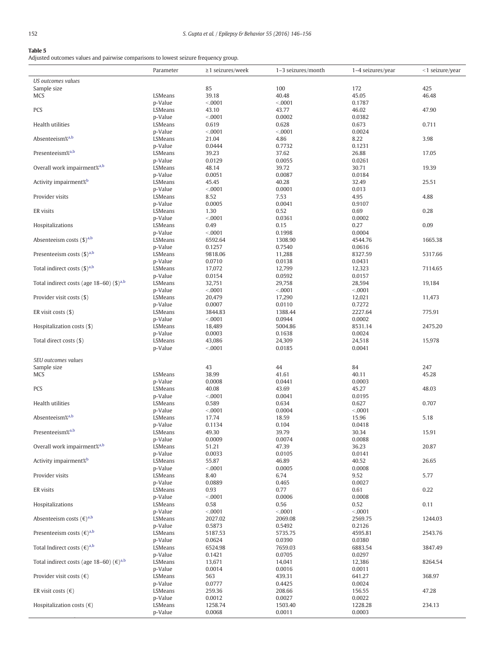<span id="page-6-0"></span>Adjusted outcomes values and pairwise comparisons to lowest seizure frequency group.

|                                                             | Parameter          | $\geq$ 1 seizures/week | 1-3 seizures/month | 1-4 seizures/year | <1 seizure/year |
|-------------------------------------------------------------|--------------------|------------------------|--------------------|-------------------|-----------------|
| US outcomes values                                          |                    |                        |                    |                   |                 |
| Sample size                                                 |                    | 85                     | 100                | 172               | 425             |
| <b>MCS</b>                                                  | LSMeans            | 39.18                  | 40.48              | 45.05             | 46.48           |
|                                                             | p-Value            | < .0001                | < .0001            | 0.1787            |                 |
| PCS                                                         | LSMeans            | 43.10                  | 43.77              | 46.02             | 47.90           |
|                                                             | p-Value            | < .0001                | 0.0002             | 0.0382            |                 |
| Health utilities                                            | LSMeans            | 0.619                  | 0.628              | 0.673             | 0.711           |
| Absenteeism <sup>%a,b</sup>                                 | p-Value            | < .0001                | < .0001            | 0.0024            |                 |
|                                                             | LSMeans<br>p-Value | 21.04<br>0.0444        | 4.86<br>0.7732     | 8.22<br>0.1231    | 3.98            |
| Presenteeism <sup>%a,b</sup>                                | LSMeans            | 39.23                  | 37.62              | 26.88             | 17.05           |
|                                                             | p-Value            | 0.0129                 | 0.0055             | 0.0261            |                 |
| Overall work impairment% <sup>a,b</sup>                     | LSMeans            | 48.14                  | 39.72              | 30.71             | 19.39           |
|                                                             | p-Value            | 0.0051                 | 0.0087             | 0.0184            |                 |
| Activity impairment <sup>%</sup>                            | LSMeans            | 45.45                  | 40.28              | 32.49             | 25.51           |
|                                                             | p-Value            | < .0001                | 0.0001             | 0.013             |                 |
| Provider visits                                             | LSMeans            | 8.52                   | 7.53               | 4.95              | 4.88            |
|                                                             | p-Value            | 0.0005                 | 0.0041             | 0.9107            |                 |
| ER visits                                                   | LSMeans            | 1.30                   | 0.52               | 0.69              | 0.28            |
|                                                             | p-Value            | < .0001                | 0.0361             | 0.0002            |                 |
| Hospitalizations                                            | LSMeans            | 0.49                   | 0.15               | 0.27              | 0.09            |
| Absenteeism costs $(\text{\$})^{a,b}$                       | p-Value            | < .0001<br>6592.64     | 0.1998<br>1308.90  | 0.0004<br>4544.76 | 1665.38         |
|                                                             | LSMeans<br>p-Value | 0.1257                 | 0.7540             | 0.0616            |                 |
| Presenteeism costs $(\text{$\$})^{a,b}$                     | LSMeans            | 9818.06                | 11,288             | 8327.59           | 5317.66         |
|                                                             | p-Value            | 0.0710                 | 0.0138             | 0.0431            |                 |
| Total indirect costs $(\text{$\mathfrak{z}$})^{\text{a,b}}$ | LSMeans            | 17,072                 | 12,799             | 12,323            | 7114.65         |
|                                                             | p-Value            | 0.0154                 | 0.0592             | 0.0157            |                 |
| Total indirect costs (age $18-60$ ) (\$) <sup>a,b</sup>     | LSMeans            | 32,751                 | 29,758             | 28,594            | 19,184          |
|                                                             | p-Value            | < .0001                | < .0001            | < .0001           |                 |
| Provider visit costs (\$)                                   | LSMeans            | 20,479                 | 17,290             | 12,021            | 11,473          |
|                                                             | p-Value            | 0.0007                 | 0.0110             | 0.7272            |                 |
| ER visit costs $(\$                                         | LSMeans            | 3844.83                | 1388.44            | 2227.64           | 775.91          |
|                                                             | p-Value            | < .0001                | 0.0944             | 0.0002            |                 |
| Hospitalization costs (\$)                                  | LSMeans            | 18,489                 | 5004.86            | 8531.14           | 2475.20         |
|                                                             | p-Value            | 0.0003                 | 0.1638             | 0.0024            |                 |
| Total direct costs (\$)                                     | LSMeans            | 43,086                 | 24,309             | 24,518            | 15,978          |
|                                                             | p-Value            | < .0001                | 0.0185             | 0.0041            |                 |
| 5EU outcomes values                                         |                    |                        |                    |                   |                 |
| Sample size                                                 |                    | 43                     | 44                 | 84                | 247             |
| <b>MCS</b>                                                  | LSMeans            | 38.99                  | 41.61              | 40.11             | 45.28           |
|                                                             | p-Value            | 0.0008                 | 0.0441             | 0.0003            |                 |
| PCS                                                         | LSMeans            | 40.08                  | 43.69              | 45.27             | 48.03           |
|                                                             | p-Value            | < .0001                | 0.0041             | 0.0195            |                 |
| Health utilities                                            | LSMeans            | 0.589                  | 0.634              | 0.627             | 0.707           |
|                                                             | p-Value            | < .0001                | 0.0004             | < .0001           |                 |
| Absenteeism <sup>%a,b</sup>                                 | LSMeans            | 17.74                  | 18.59              | 15.96             | 5.18            |
| Presenteeism <sup>%a,b</sup>                                | p-Value<br>LSMeans | 0.1134<br>49.30        | 0.104<br>39.79     | 0.0418<br>30.34   | 15.91           |
|                                                             | p-Value            | 0.0009                 | 0.0074             | 0.0088            |                 |
| Overall work impairment% <sup>a,b</sup>                     | LSMeans            | 51.21                  | 47.39              | 36.23             | 20.87           |
|                                                             | p-Value            | 0.0033                 | 0.0105             | 0.0141            |                 |
| Activity impairment% <sup>b</sup>                           | LSMeans            | 55.87                  | 46.89              | 40.52             | 26.65           |
|                                                             | p-Value            | < .0001                | 0.0005             | 0.0008            |                 |
| Provider visits                                             | LSMeans            | 8.40                   | 6.74               | 9.52              | 5.77            |
|                                                             | p-Value            | 0.0889                 | 0.465              | 0.0027            |                 |
| ER visits                                                   | LSMeans            | 0.93                   | 0.77               | 0.61              | 0.22            |
|                                                             | p-Value            | < .0001                | 0.0006             | 0.0008            |                 |
| Hospitalizations                                            | LSMeans            | 0.58                   | 0.56               | 0.52              | 0.11            |
|                                                             | p-Value            | < .0001                | < .0001            | < .0001           |                 |
| Absenteeism costs $(\epsilon)^{a,b}$                        | LSMeans            | 2027.02                | 2069.08            | 2569.75           | 1244.03         |
|                                                             | p-Value            | 0.5873                 | 0.5492             | 0.2126            |                 |
| Presenteeism costs $(\epsilon)^{a,b}$                       | LSMeans            | 5187.53                | 5735.75            | 4595.81           | 2543.76         |
| Total Indirect costs $(\epsilon)^{a,b}$                     | p-Value            | 0.0624                 | 0.0390             | 0.0380            |                 |
|                                                             | LSMeans            | 6524.98                | 7659.03            | 6883.54           | 3847.49         |
| Total indirect costs (age 18-60) $(\epsilon)^{a,b}$         | p-Value<br>LSMeans | 0.1421<br>13,671       | 0.0705<br>14,041   | 0.0297<br>12,386  | 8264.54         |
|                                                             | p-Value            | 0.0014                 | 0.0016             | 0.0011            |                 |
| Provider visit costs $(\epsilon)$                           | LSMeans            | 563                    | 439.31             | 641.27            | 368.97          |
|                                                             | p-Value            | 0.0777                 | 0.4425             | 0.0024            |                 |
| ER visit costs $(\epsilon)$                                 | LSMeans            | 259.36                 | 208.66             | 156.55            | 47.28           |
|                                                             | p-Value            | 0.0012                 | 0.0027             | 0.0022            |                 |
| Hospitalization costs $(\epsilon)$                          | LSMeans            | 1258.74                | 1503.40            | 1228.28           | 234.13          |
|                                                             | p-Value            | 0.0068                 | 0.0011             | 0.0003            |                 |
|                                                             |                    |                        |                    |                   |                 |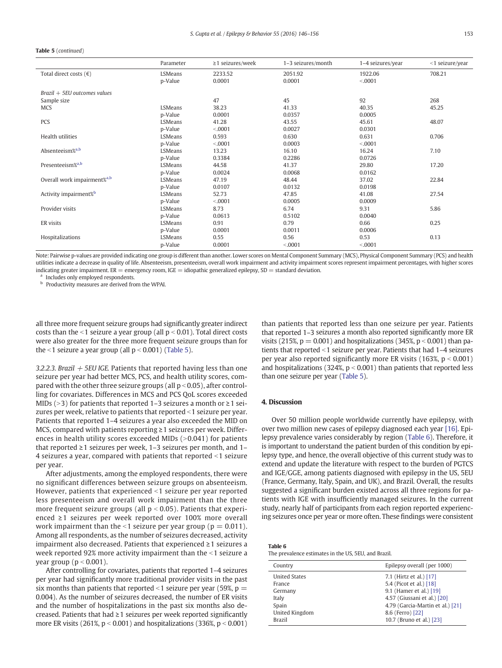### <span id="page-7-0"></span>Table 5 (continued)

|                                         | Parameter      | ≥1 seizures/week | 1-3 seizures/month | 1-4 seizures/year | <1 seizure/year |
|-----------------------------------------|----------------|------------------|--------------------|-------------------|-----------------|
| Total direct costs $(\epsilon)$         | LSMeans        | 2233.52          | 2051.92            | 1922.06           | 708.21          |
|                                         | p-Value        | 0.0001           | 0.0001             | < .0001           |                 |
| $Brazil + 5EU$ outcomes values          |                |                  |                    |                   |                 |
| Sample size                             |                | 47               | 45                 | 92                | 268             |
| <b>MCS</b>                              | <b>LSMeans</b> | 38.23            | 41.33              | 40.35             | 45.25           |
|                                         | p-Value        | 0.0001           | 0.0357             | 0.0005            |                 |
| <b>PCS</b>                              | <b>LSMeans</b> | 41.28            | 43.55              | 45.61             | 48.07           |
|                                         | p-Value        | < .0001          | 0.0027             | 0.0301            |                 |
| Health utilities                        | <b>LSMeans</b> | 0.593            | 0.630              | 0.631             | 0.706           |
|                                         | p-Value        | < .0001          | 0.0003             | < .0001           |                 |
| Absenteeism <sup>%a,b</sup>             | <b>LSMeans</b> | 13.23            | 16.10              | 16.24             | 7.10            |
|                                         | p-Value        | 0.3384           | 0.2286             | 0.0726            |                 |
| Presenteeism <sup>%a,b</sup>            | <b>LSMeans</b> | 44.58            | 41.37              | 29.80             | 17.20           |
|                                         | p-Value        | 0.0024           | 0.0068             | 0.0162            |                 |
| Overall work impairment% <sup>a,b</sup> | <b>LSMeans</b> | 47.19            | 48.44              | 37.02             | 22.84           |
|                                         | p-Value        | 0.0107           | 0.0132             | 0.0198            |                 |
| Activity impairment <sup>%b</sup>       | <b>LSMeans</b> | 52.73            | 47.85              | 41.08             | 27.54           |
|                                         | p-Value        | < .0001          | 0.0005             | 0.0009            |                 |
| Provider visits                         | LSMeans        | 8.73             | 6.74               | 9.31              | 5.86            |
|                                         | p-Value        | 0.0613           | 0.5102             | 0.0040            |                 |
| ER visits                               | LSMeans        | 0.91             | 0.79               | 0.66              | 0.25            |
|                                         | p-Value        | 0.0001           | 0.0011             | 0.0006            |                 |
| Hospitalizations                        | <b>LSMeans</b> | 0.55             | 0.56               | 0.53              | 0.13            |
|                                         | p-Value        | 0.0001           | < 0.0001           | < .0001           |                 |

Note: Pairwise p-values are provided indicating one group is different than another. Lower scores on Mental Component Summary (MCS), Physical Component Summary (PCS) and health utilities indicate a decrease in quality of life. Absenteeism, presenteeism, overall work impairment and activity impairment scores represent impairment percentages, with higher scores indicating greater impairment.  $ER$  = emergency room,  $IGE$  = idiopathic generalized epilepsy,  $SD$  = standard deviation.

<sup>a</sup> Includes only employed respondents.

**b** Productivity measures are derived from the WPAI.

all three more frequent seizure groups had significantly greater indirect costs than the  $\leq 1$  seizure a year group (all  $p \le 0.01$ ). Total direct costs were also greater for the three more frequent seizure groups than for the  $\leq$ 1 seizure a year group (all p  $\leq$  0.001) [\(Table 5\)](#page-6-0).

3.2.2.3. Brazil  $+$  5EU IGE. Patients that reported having less than one seizure per year had better MCS, PCS, and health utility scores, compared with the other three seizure groups (all  $p < 0.05$ ), after controlling for covariates. Differences in MCS and PCS QoL scores exceeded MIDs ( $>$ 3) for patients that reported 1–3 seizures a month or  $\geq$ 1 seizures per week, relative to patients that reported  $\leq 1$  seizure per year. Patients that reported 1–4 seizures a year also exceeded the MID on MCS, compared with patients reporting ≥1 seizures per week. Differences in health utility scores exceeded MIDs  $(>0.041)$  for patients that reported ≥1 seizures per week, 1–3 seizures per month, and 1– 4 seizures a year, compared with patients that reported  $\leq 1$  seizure per year.

After adjustments, among the employed respondents, there were no significant differences between seizure groups on absenteeism. However, patients that experienced <1 seizure per year reported less presenteeism and overall work impairment than the three more frequent seizure groups (all  $p < 0.05$ ). Patients that experienced ≥1 seizures per week reported over 100% more overall work impairment than the  $\leq 1$  seizure per year group ( $p = 0.011$ ). Among all respondents, as the number of seizures decreased, activity impairment also decreased. Patients that experienced ≥1 seizures a week reported 92% more activity impairment than the  $\leq$ 1 seizure a year group ( $p < 0.001$ ).

After controlling for covariates, patients that reported 1–4 seizures per year had significantly more traditional provider visits in the past six months than patients that reported  $\leq$  1 seizure per year (59%, p = 0.004). As the number of seizures decreased, the number of ER visits and the number of hospitalizations in the past six months also decreased. Patients that had ≥1 seizures per week reported significantly more ER visits (261%,  $p < 0.001$ ) and hospitalizations (336%,  $p < 0.001$ ) than patients that reported less than one seizure per year. Patients that reported 1–3 seizures a month also reported significantly more ER visits (215%,  $p = 0.001$ ) and hospitalizations (345%,  $p < 0.001$ ) than patients that reported  $<$ 1 seizure per year. Patients that had 1–4 seizures per year also reported significantly more ER visits  $(163\%, p < 0.001)$ and hospitalizations (324%,  $p < 0.001$ ) than patients that reported less than one seizure per year [\(Table 5](#page-6-0)).

# 4. Discussion

Over 50 million people worldwide currently have epilepsy, with over two million new cases of epilepsy diagnosed each year [\[16\].](#page-9-0) Epilepsy prevalence varies considerably by region (Table 6). Therefore, it is important to understand the patient burden of this condition by epilepsy type, and hence, the overall objective of this current study was to extend and update the literature with respect to the burden of PGTCS and IGE/GGE, among patients diagnosed with epilepsy in the US, 5EU (France, Germany, Italy, Spain, and UK), and Brazil. Overall, the results suggested a significant burden existed across all three regions for patients with IGE with insufficiently managed seizures. In the current study, nearly half of participants from each region reported experiencing seizures once per year or more often. These findings were consistent

| Table 6                                              |
|------------------------------------------------------|
| The prevalence estimates in the US, 5EU, and Brazil. |

| Country              | Epilepsy overall (per 1000)      |
|----------------------|----------------------------------|
| <b>United States</b> | 7.1 (Hirtz et al.) [17]          |
| France               | 5.4 (Picot et al.) [18]          |
| Germany              | 9.1 (Hamer et al.) [19]          |
| Italy                | 4.57 (Giussani et al.) [20]      |
| Spain                | 4.79 (Garcia-Martin et al.) [21] |
| United Kingdom       | 8.6 (Ferro) [22]                 |
| <b>Brazil</b>        | 10.7 (Bruno et al.) [23]         |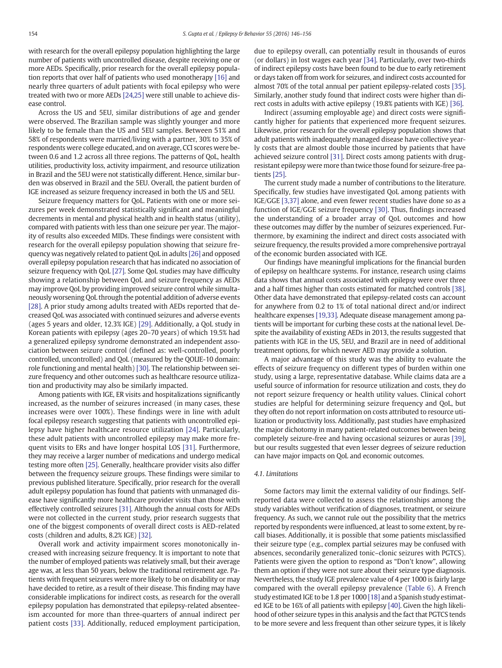with research for the overall epilepsy population highlighting the large number of patients with uncontrolled disease, despite receiving one or more AEDs. Specifically, prior research for the overall epilepsy population reports that over half of patients who used monotherapy [\[16\]](#page-9-0) and nearly three quarters of adult patients with focal epilepsy who were treated with two or more AEDs [\[24,25\]](#page-9-0) were still unable to achieve disease control.

Across the US and 5EU, similar distributions of age and gender were observed. The Brazilian sample was slightly younger and more likely to be female than the US and 5EU samples. Between 51% and 58% of respondents were married/living with a partner, 30% to 35% of respondents were college educated, and on average, CCI scores were between 0.6 and 1.2 across all three regions. The patterns of QoL, health utilities, productivity loss, activity impairment, and resource utilization in Brazil and the 5EU were not statistically different. Hence, similar burden was observed in Brazil and the 5EU. Overall, the patient burden of IGE increased as seizure frequency increased in both the US and 5EU.

Seizure frequency matters for QoL. Patients with one or more seizures per week demonstrated statistically significant and meaningful decrements in mental and physical health and in health status (utility), compared with patients with less than one seizure per year. The majority of results also exceeded MIDs. These findings were consistent with research for the overall epilepsy population showing that seizure frequency was negatively related to patient QoL in adults [\[26\]](#page-9-0) and opposed overall epilepsy population research that has indicated no association of seizure frequency with QoL [\[27\].](#page-9-0) Some QoL studies may have difficulty showing a relationship between QoL and seizure frequency as AEDs may improve QoL by providing improved seizure control while simultaneously worsening QoL through the potential addition of adverse events [\[28\]](#page-9-0). A prior study among adults treated with AEDs reported that decreased QoL was associated with continued seizures and adverse events (ages 5 years and older, 12.3% IGE) [\[29\]](#page-9-0). Additionally, a QoL study in Korean patients with epilepsy (ages 20–70 years) of which 19.5% had a generalized epilepsy syndrome demonstrated an independent association between seizure control (defined as: well-controlled, poorly controlled, uncontrolled) and QoL (measured by the QOLIE-10 domain: role functioning and mental health) [\[30\]](#page-9-0). The relationship between seizure frequency and other outcomes such as healthcare resource utilization and productivity may also be similarly impacted.

Among patients with IGE, ER visits and hospitalizations significantly increased, as the number of seizures increased (in many cases, these increases were over 100%). These findings were in line with adult focal epilepsy research suggesting that patients with uncontrolled epilepsy have higher healthcare resource utilization [\[24\].](#page-9-0) Particularly, these adult patients with uncontrolled epilepsy may make more frequent visits to ERs and have longer hospital LOS [\[31\].](#page-10-0) Furthermore, they may receive a larger number of medications and undergo medical testing more often [\[25\].](#page-9-0) Generally, healthcare provider visits also differ between the frequency seizure groups. These findings were similar to previous published literature. Specifically, prior research for the overall adult epilepsy population has found that patients with unmanaged disease have significantly more healthcare provider visits than those with effectively controlled seizures [\[31\].](#page-10-0) Although the annual costs for AEDs were not collected in the current study, prior research suggests that one of the biggest components of overall direct costs is AED-related costs (children and adults, 8.2% IGE) [\[32\].](#page-10-0)

Overall work and activity impairment scores monotonically increased with increasing seizure frequency. It is important to note that the number of employed patients was relatively small, but their average age was, at less than 50 years, below the traditional retirement age. Patients with frequent seizures were more likely to be on disability or may have decided to retire, as a result of their disease. This finding may have considerable implications for indirect costs, as research for the overall epilepsy population has demonstrated that epilepsy-related absenteeism accounted for more than three-quarters of annual indirect per patient costs [\[33\].](#page-10-0) Additionally, reduced employment participation, due to epilepsy overall, can potentially result in thousands of euros (or dollars) in lost wages each year [\[34\]](#page-10-0). Particularly, over two-thirds of indirect epilepsy costs have been found to be due to early retirement or days taken off from work for seizures, and indirect costs accounted for almost 70% of the total annual per patient epilepsy-related costs [\[35\].](#page-10-0) Similarly, another study found that indirect costs were higher than direct costs in adults with active epilepsy (19.8% patients with IGE) [\[36\]](#page-10-0).

Indirect (assuming employable age) and direct costs were significantly higher for patients that experienced more frequent seizures. Likewise, prior research for the overall epilepsy population shows that adult patients with inadequately managed disease have collective yearly costs that are almost double those incurred by patients that have achieved seizure control [\[31\].](#page-10-0) Direct costs among patients with drugresistant epilepsy were more than twice those found for seizure-free patients [\[25\]](#page-9-0).

The current study made a number of contributions to the literature. Specifically, few studies have investigated QoL among patients with IGE/GGE [\[3,37\]](#page-9-0) alone, and even fewer recent studies have done so as a function of IGE/GGE seizure frequency [\[30\]](#page-9-0). Thus, findings increased the understanding of a broader array of QoL outcomes and how these outcomes may differ by the number of seizures experienced. Furthermore, by examining the indirect and direct costs associated with seizure frequency, the results provided a more comprehensive portrayal of the economic burden associated with IGE.

Our findings have meaningful implications for the financial burden of epilepsy on healthcare systems. For instance, research using claims data shows that annual costs associated with epilepsy were over three and a half times higher than costs estimated for matched controls [\[38\].](#page-10-0) Other data have demonstrated that epilepsy-related costs can account for anywhere from 0.2 to 1% of total national direct and/or indirect healthcare expenses [\[19,33\].](#page-9-0) Adequate disease management among patients will be important for curbing these costs at the national level. Despite the availability of existing AEDs in 2013, the results suggested that patients with IGE in the US, 5EU, and Brazil are in need of additional treatment options, for which newer AED may provide a solution.

A major advantage of this study was the ability to evaluate the effects of seizure frequency on different types of burden within one study, using a large, representative database. While claims data are a useful source of information for resource utilization and costs, they do not report seizure frequency or health utility values. Clinical cohort studies are helpful for determining seizure frequency and QoL, but they often do not report information on costs attributed to resource utilization or productivity loss. Additionally, past studies have emphasized the major dichotomy in many patient-related outcomes between being completely seizure-free and having occasional seizures or auras [\[39\],](#page-10-0) but our results suggested that even lesser degrees of seizure reduction can have major impacts on QoL and economic outcomes.

# 4.1. Limitations

Some factors may limit the external validity of our findings. Selfreported data were collected to assess the relationships among the study variables without verification of diagnoses, treatment, or seizure frequency. As such, we cannot rule out the possibility that the metrics reported by respondents were influenced, at least to some extent, by recall biases. Additionally, it is possible that some patients misclassified their seizure type (e.g., complex partial seizures may be confused with absences, secondarily generalized tonic–clonic seizures with PGTCS). Patients were given the option to respond as "Don't know", allowing them an option if they were not sure about their seizure type diagnosis. Nevertheless, the study IGE prevalence value of 4 per 1000 is fairly large compared with the overall epilepsy prevalence [\(Table 6](#page-7-0)). A French study estimated IGE to be 1.8 per 1000 [\[18\]](#page-9-0) and a Spanish study estimated IGE to be 16% of all patients with epilepsy [\[40\].](#page-10-0) Given the high likelihood of other seizure types in this analysis and the fact that PGTCS tends to be more severe and less frequent than other seizure types, it is likely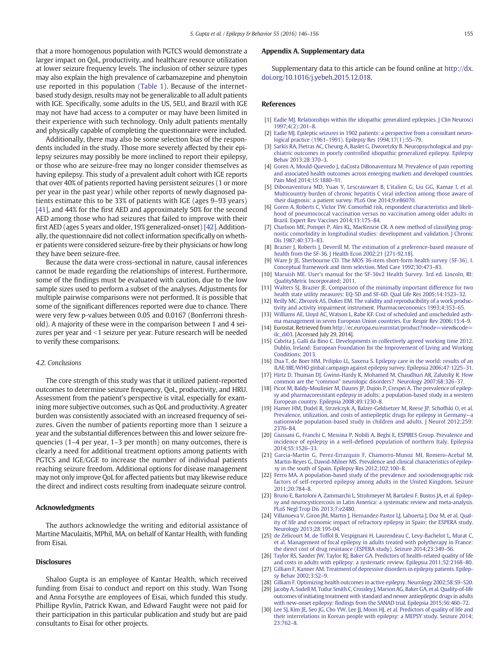<span id="page-9-0"></span>that a more homogenous population with PGTCS would demonstrate a larger impact on QoL, productivity, and healthcare resource utilization at lower seizure frequency levels. The inclusion of other seizure types may also explain the high prevalence of carbamazepine and phenytoin use reported in this population ([Table 1](#page-3-0)). Because of the internetbased study design, results may not be generalizable to all adult patients with IGE. Specifically, some adults in the US, 5EU, and Brazil with IGE may not have had access to a computer or may have been limited in their experience with such technology. Only adult patients mentally and physically capable of completing the questionnaire were included.

Additionally, there may also be some selection bias of the respondents included in the study. Those more severely affected by their epilepsy seizures may possibly be more inclined to report their epilepsy, or those who are seizure-free may no longer consider themselves as having epilepsy. This study of a prevalent adult cohort with IGE reports that over 40% of patients reported having persistent seizures (1 or more per year in the past year) while other reports of newly diagnosed patients estimate this to be 33% of patients with IGE (ages 9–93 years) [\[41\]](#page-10-0), and 44% for the first AED and approximately 50% for the second AED among those who had seizures that failed to improve with their first AED (ages 5 years and older, 19% generalized-onset) [\[42\]](#page-10-0). Additionally, the questionnaire did not collect information specifically on whether patients were considered seizure-free by their physicians or how long they have been seizure-free.

Because the data were cross-sectional in nature, causal inferences cannot be made regarding the relationships of interest. Furthermore, some of the findings must be evaluated with caution, due to the low sample sizes used to perform a subset of the analyses. Adjustments for multiple pairwise comparisons were not performed. It is possible that some of the significant differences reported were due to chance. There were very few p-values between 0.05 and 0.0167 (Bonferroni threshold). A majority of these were in the comparison between 1 and 4 seizures per year and <1 seizure per year. Future research will be needed to verify these comparisons.

# 4.2. Conclusions

The core strength of this study was that it utilized patient-reported outcomes to determine seizure frequency, QoL, productivity, and HRU. Assessment from the patient's perspective is vital, especially for examining more subjective outcomes, such as QoL and productivity. A greater burden was consistently associated with an increased frequency of seizures. Given the number of patients reporting more than 1 seizure a year and the substantial differences between this and lower seizure frequencies (1–4 per year, 1–3 per month) on many outcomes, there is clearly a need for additional treatment options among patients with PGTCS and IGE/GGE to increase the number of individual patients reaching seizure freedom. Additional options for disease management may not only improve QoL for affected patients but may likewise reduce the direct and indirect costs resulting from inadequate seizure control.

# Acknowledgments

The authors acknowledge the writing and editorial assistance of Martine Maculaitis, MPhil, MA, on behalf of Kantar Health, with funding from Eisai.

# **Disclosures**

Shaloo Gupta is an employee of Kantar Health, which received funding from Eisai to conduct and report on this study. Wan Tsong and Anna Forsythe are employees of Eisai, which funded this study. Phillipe Ryvlin, Patrick Kwan, and Edward Faught were not paid for their participation in this particular publication and study but are paid consultants to Eisai for other projects.

# Appendix A. Supplementary data

Supplementary data to this article can be found online at [http://dx.](http://dx.doi.org/10.1016/j.yebeh.2015.12.018) [doi.org/10.1016/j.yebeh.2015.12.018.](http://dx.doi.org/10.1016/j.yebeh.2015.12.018)

# References

- [1] [Eadie MJ. Relationships within the idiopathic generalized epilepsies. J Clin Neurosci](http://refhub.elsevier.com/S1525-5050(15)00673-3/rf0005) [1997;4\(2\):201](http://refhub.elsevier.com/S1525-5050(15)00673-3/rf0005)–8.
- [2] [Eadie MJ. Epileptic seizures in 1902 patients: a perspective from a consultant neuro](http://refhub.elsevier.com/S1525-5050(15)00673-3/rf0010)logical practice (1961–[1991\). Epilepsy Res 1994;17\(1\):55](http://refhub.elsevier.com/S1525-5050(15)00673-3/rf0010)–79.
- [3] [Sarkis RA, Pietras AC, Cheung A, Baslet G, Dworetzky B. Neuropsychological and psy](http://refhub.elsevier.com/S1525-5050(15)00673-3/rf0015)[chiatric outcomes in poorly controlled idiopathic generalized epilepsy. Epilepsy](http://refhub.elsevier.com/S1525-5050(15)00673-3/rf0015) [Behav 2013;28:370](http://refhub.elsevier.com/S1525-5050(15)00673-3/rf0015)–3.
- [4] [Goren A, Mould-Quevedo J, daCosta DiBonaventura M. Prevalence of pain reporting](http://refhub.elsevier.com/S1525-5050(15)00673-3/rf0200) [and associated health outcomes across emerging markets and developed countries.](http://refhub.elsevier.com/S1525-5050(15)00673-3/rf0200) [Pain Med 2014;15:1880](http://refhub.elsevier.com/S1525-5050(15)00673-3/rf0200)–91.
- [5] [Dibonaventura MD, Yuan Y, Lescrauwaet B, L'italien G, Liu GG, Kamae I, et al.](http://refhub.elsevier.com/S1525-5050(15)00673-3/rf0025) [Multicountry burden of chronic hepatitis C viral infection among those aware of](http://refhub.elsevier.com/S1525-5050(15)00673-3/rf0025) [their diagnosis: a patient survey. PLoS One 2014;9:e86070.](http://refhub.elsevier.com/S1525-5050(15)00673-3/rf0025)
- [6] [Goren A, Roberts C, Victor TW. Comorbid risk, respondent characteristics and likeli](http://refhub.elsevier.com/S1525-5050(15)00673-3/rf0030)[hood of pneumococcal vaccination versus no vaccination among older adults in](http://refhub.elsevier.com/S1525-5050(15)00673-3/rf0030) [Brazil. Expert Rev Vaccines 2014;13:175](http://refhub.elsevier.com/S1525-5050(15)00673-3/rf0030)–84.
- [7] [Charlson ME, Pompei P, Ales KL, MacKenzie CR. A new method of classifying prog](http://refhub.elsevier.com/S1525-5050(15)00673-3/rf0035)[nostic comorbidity in longitudinal studies: development and validation. J Chronic](http://refhub.elsevier.com/S1525-5050(15)00673-3/rf0035) [Dis 1987;40:373](http://refhub.elsevier.com/S1525-5050(15)00673-3/rf0035)–83.
- [8] [Brazier J, Roberts J, Deverill M. The estimation of a preference-based measure of](http://refhub.elsevier.com/S1525-5050(15)00673-3/rf0040) [health from the SF-36. J Health Econ 2002;21 \[271-92.18\].](http://refhub.elsevier.com/S1525-5050(15)00673-3/rf0040)
- [9] [Ware Jr JE, Sherbourne CD. The MOS 36-item short-form health survey \(SF-36\). I.](http://refhub.elsevier.com/S1525-5050(15)00673-3/rf0045) [Conceptual framework and item selection. Med Care 1992;30:473](http://refhub.elsevier.com/S1525-5050(15)00673-3/rf0045)–83.
- [10] [Maruish ME. User's manual for the SF-36v2 Health Survey. 3rd ed. Lincoln, RI:](http://refhub.elsevier.com/S1525-5050(15)00673-3/rf0205) [QualityMetric Incorporated; 2011.](http://refhub.elsevier.com/S1525-5050(15)00673-3/rf0205)
- [11] [Walters SJ, Brazier JE. Comparison of the minimally important difference for two](http://refhub.elsevier.com/S1525-5050(15)00673-3/rf0055) [health state utility measures: EQ-5D and SF-6D. Qual Life Res 2005;14:1523](http://refhub.elsevier.com/S1525-5050(15)00673-3/rf0055)–32.
- [12] [Reilly MC, Zbrozek AS, Dukes EM. The validity and reproducibility of a work produc](http://refhub.elsevier.com/S1525-5050(15)00673-3/rf0060)[tivity and activity impairment instrument. Pharmacoeconomics 1993;4:353](http://refhub.elsevier.com/S1525-5050(15)00673-3/rf0060)–65.
- [13] [Williams AE, Lloyd AC, Watson L, Rabe KF. Cost of scheduled and unscheduled asth](http://refhub.elsevier.com/S1525-5050(15)00673-3/rf0065)[ma management in seven European Union countries. Eur Respir Rev 2006;15:4](http://refhub.elsevier.com/S1525-5050(15)00673-3/rf0065)–9.
- [14] Eurostat. Retrieved from [http://ec.europa.eu/eurostat/product?mode=view&code=](http://ec.europa.eu/eurostat/product?modew&codelc_di03) [ilc\\_di03](http://ec.europa.eu/eurostat/product?modew&codelc_di03). [Accessed July 29, 2014].
- [15] [Cabrita J, Galli da Bino C. Developments in collectively agreed working time 2012.](http://refhub.elsevier.com/S1525-5050(15)00673-3/rf0215) [Dublin, Ireland: European Foundation for the Improvement of Living and Working](http://refhub.elsevier.com/S1525-5050(15)00673-3/rf0215) [Conditions; 2013.](http://refhub.elsevier.com/S1525-5050(15)00673-3/rf0215)
- [16] [Dua T, de Boer HM, Prilipko LL, Saxena S. Epilepsy care in the world: results of an](http://refhub.elsevier.com/S1525-5050(15)00673-3/rf0075) [ILAE/IBE/WHO global campaign against epilepsy survey. Epilepsia 2006;47:1225](http://refhub.elsevier.com/S1525-5050(15)00673-3/rf0075)–31.
- [17] [Hirtz D, Thuman DJ, Gwinn-Hardy K, Mohamed M, Chaudhuri AR, Zalutsky R. How](http://refhub.elsevier.com/S1525-5050(15)00673-3/rf0165) common are the "common" [neurologic disorders? Neurology 2007;68:326](http://refhub.elsevier.com/S1525-5050(15)00673-3/rf0165)–37.
- [18] [Picot M, Baldy-Moulinier M, Daures JP, Dujois P, Crespei A. The prevalence of epilep](http://refhub.elsevier.com/S1525-5050(15)00673-3/rf0170)[sy and pharmacoresistant epilepsy in adults: a population-based study in a western](http://refhub.elsevier.com/S1525-5050(15)00673-3/rf0170) [European country. Epilepsia 2008;49:1230](http://refhub.elsevier.com/S1525-5050(15)00673-3/rf0170)–8.
- [19] [Hamer HM, Dodel R, Strzelczyk A, Balzer-Geldsetzer M, Reese JP, Schoffski O, et al.](http://refhub.elsevier.com/S1525-5050(15)00673-3/rf0155) [Prevalence, utilization, and costs of antiepileptic drugs for epilepsy in Germany](http://refhub.elsevier.com/S1525-5050(15)00673-3/rf0155)—a [nationwide population-based study in children and adults. J Neurol 2012;259:](http://refhub.elsevier.com/S1525-5050(15)00673-3/rf0155) [2376](http://refhub.elsevier.com/S1525-5050(15)00673-3/rf0155)–84.
- [20] [Giussani G, Franchi C, Messina P, Nobili A, Beghi E, ESPIRES Group. Prevalence and](http://refhub.elsevier.com/S1525-5050(15)00673-3/rf0220) incidence of epilepsy in a well-defi[ned population of northern Italy. Epilepsia](http://refhub.elsevier.com/S1525-5050(15)00673-3/rf0220) [2014;55:1526](http://refhub.elsevier.com/S1525-5050(15)00673-3/rf0220)–33.
- [21] [Garcia-Martin G, Perez-Errazquin F, Chamorro-Munoz MI, Romero-Acebal M,](http://refhub.elsevier.com/S1525-5050(15)00673-3/rf0180) [Martin-Reyes G, Dawid-Milner MS. Prevalence and clinical characteristics of epilep](http://refhub.elsevier.com/S1525-5050(15)00673-3/rf0180)[sy in the south of Spain. Epilepsy Res 2012;102:100](http://refhub.elsevier.com/S1525-5050(15)00673-3/rf0180)–8.
- [22] [Ferro MA. A population-based study of the prevalence and sociodemographic risk](http://refhub.elsevier.com/S1525-5050(15)00673-3/rf0185) [factors of self-reported epilepsy among adults in the United Kingdom. Seizure](http://refhub.elsevier.com/S1525-5050(15)00673-3/rf0185) [2011;20:784](http://refhub.elsevier.com/S1525-5050(15)00673-3/rf0185)–8.
- [23] [Bruno E, Bartoloni A, Zammarchi L, Strohmeyer M, Bartalesi F, Bustos JA, et al. Epilep](http://refhub.elsevier.com/S1525-5050(15)00673-3/rf0190)[sy and neurocysticercosis in Latin America: a systematic review and meta-analysis.](http://refhub.elsevier.com/S1525-5050(15)00673-3/rf0190) [PLoS Negl Trop Dis 2013;7:e2480.](http://refhub.elsevier.com/S1525-5050(15)00673-3/rf0190)
- [24] [Villanueva V, Giron JM, Martin J, Hernandez-Pastor LJ, Lahuerta J, Doz M, et al. Qual](http://refhub.elsevier.com/S1525-5050(15)00673-3/rf0080)[ity of life and economic impact of refractory epilepsy in Spain: the ESPERA study.](http://refhub.elsevier.com/S1525-5050(15)00673-3/rf0080) [Neurology 2013;28:195-04.](http://refhub.elsevier.com/S1525-5050(15)00673-3/rf0080)
- [25] [de Zelicourt M, de Toffol B, Vespignani H, Laurendeau C, Levy-Bachelot L, Murat C,](http://refhub.elsevier.com/S1525-5050(15)00673-3/rf0085) [et al. Management of focal epilepsy in adults treated with polytherapy in France:](http://refhub.elsevier.com/S1525-5050(15)00673-3/rf0085) [the direct cost of drug resistance \(ESPERA study\). Seizure 2014;23:349](http://refhub.elsevier.com/S1525-5050(15)00673-3/rf0085)–56.
- [26] [Taylor RS, Sander JW, Taylor RJ, Baker GA. Predictors of health-related quality of life](http://refhub.elsevier.com/S1525-5050(15)00673-3/rf0090) [and costs in adults with epilepsy: a systematic review. Epilepsia 2011;52:2168](http://refhub.elsevier.com/S1525-5050(15)00673-3/rf0090)–80.
- [27] [Gilliam F, Kanner AM. Treatment of depressive disorders in epilepsy patients. Epilep](http://refhub.elsevier.com/S1525-5050(15)00673-3/rf0095)[sy Behav 2002;3:S2](http://refhub.elsevier.com/S1525-5050(15)00673-3/rf0095)–9.
- [28] [Gilliam F. Optimizing health outcomes in active epilepsy. Neurology 2002;58:S9](http://refhub.elsevier.com/S1525-5050(15)00673-3/rf0100)–S20. [29] [Jacoby A, Sudell M, Tudur Smith C, Crossley J, Marson AG, Baker GA, et al. Quality-of-life](http://refhub.elsevier.com/S1525-5050(15)00673-3/rf0105) [outcomes of initiating treatment with standard and newer antiepileptic drugs in adults](http://refhub.elsevier.com/S1525-5050(15)00673-3/rf0105)
- with new-onset epilepsy: fi[ndings from the SANAD trial. Epilepsia 2015;56:460](http://refhub.elsevier.com/S1525-5050(15)00673-3/rf0105)–72. [30] [Lee SJ, Kim JE, Seo JG, Cho YW, Lee JJ, Moon HJ, et al. Predictors of quality of life and](http://refhub.elsevier.com/S1525-5050(15)00673-3/rf0110) [their interrelations in Korean people with epilepsy: a MEPSY study. Seizure 2014;](http://refhub.elsevier.com/S1525-5050(15)00673-3/rf0110) [23:762](http://refhub.elsevier.com/S1525-5050(15)00673-3/rf0110)–8.